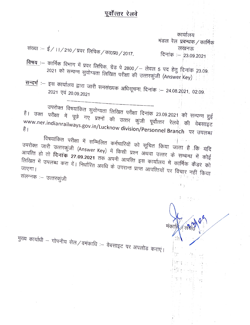## पूर्वोत्तर रेलवे

कार्यालय मंडल रेल प्रबन्धक / कार्मिक लखनऊ दिनांक : 23.09.2021

मका

- संख्या :- ई/ 11/210/प्रवरं लिपिक/का0प्र0/2017,
- विषय :-- कार्मिक विभाग में प्रवर लिपिक, ग्रेड पे 2800/- लेवल 5 पद हेतु दिनांक 23.09. 2021 को सम्पन्न सुयोग्यता लिखित परीक्षा की उत्तरकुंजी (Answer Key)
- <u>सन्दर्भ</u>ः इस कार्यालय द्वारा जारी समसंख्यक अधिसूचना, दिनांकः 24.08.2021, 02.09. 2021 एवं 20.09.2021

उपरोक्त विषयांकित सुयोग्यता लिखित परीक्षा दिनांक 23.09.2021 को सम्पन्न हुई है। उक्त परीक्षा में पूछे गए प्रश्नों की उत्तर कुंजी पूर्वोत्तर रेलवे की वेबसाइट www.ner.indianrailways.gov.in/Lucknow division/Personnel Branch पर उपलब्ध है ।

विषयांकित परीक्षा में सम्मिलित कर्मचारियों को सूचित किया जाता है कि यदि उपरोक्त जारी उत्तरकुंजी (Answer Key) में किसी प्रश्न अथवा उत्तर के सम्बन्ध में कोई आपत्ति हो तो **दिनांक 27.09.2021** तक अपनी आपत्ति इस कार्यालय में कार्मिक कैडर को लिखित में उपलब्ध करा दें। निर्धारित अवधि के उपरान्त प्राप्त आपत्तियों पर विचार नहीं किया संलग्नक :- उत्तरकुंजी

मुख्य कार्याधी – गोपनीय सेल/वमंकाधि :– वेबसाइट पर अपलोड कराएं।